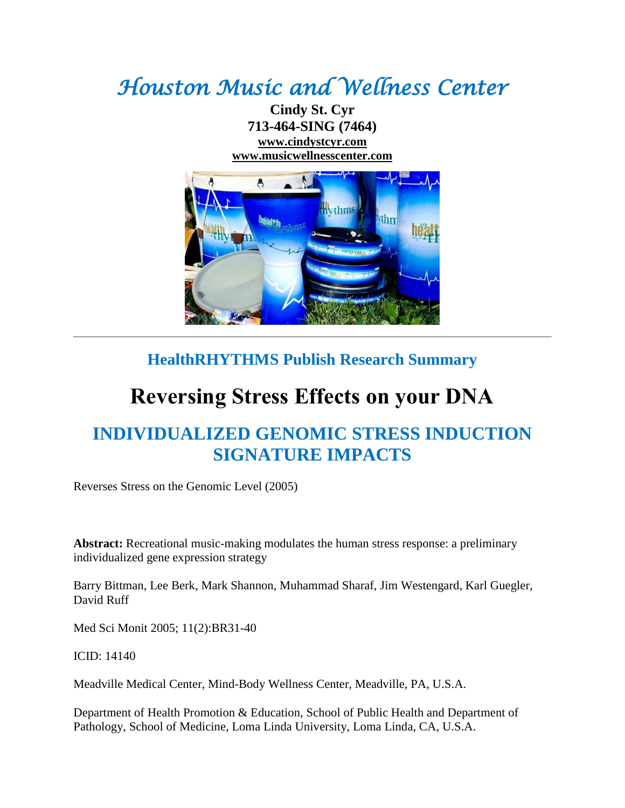## *Houston Music and Wellness Center*

**Cindy St. Cyr 713-464-SING (7464) [www.cindystcyr.com](http://www.cindystcyr.com/) [www.musicwellnesscenter.com](http://www.musicwellnesscenter.com/)**



## **HealthRHYTHMS Publish Research Summary**

## **Reversing Stress Effects on your DNA**

## **INDIVIDUALIZED GENOMIC STRESS INDUCTION SIGNATURE IMPACTS**

Reverses Stress on the Genomic Level (2005)

**Abstract:** Recreational music-making modulates the human stress response: a preliminary individualized gene expression strategy

Barry Bittman, Lee Berk, Mark Shannon, Muhammad Sharaf, Jim Westengard, Karl Guegler, David Ruff

Med Sci Monit 2005; 11(2):BR31-40

ICID: 14140

Meadville Medical Center, Mind-Body Wellness Center, Meadville, PA, U.S.A.

Department of Health Promotion & Education, School of Public Health and Department of Pathology, School of Medicine, Loma Linda University, Loma Linda, CA, U.S.A.